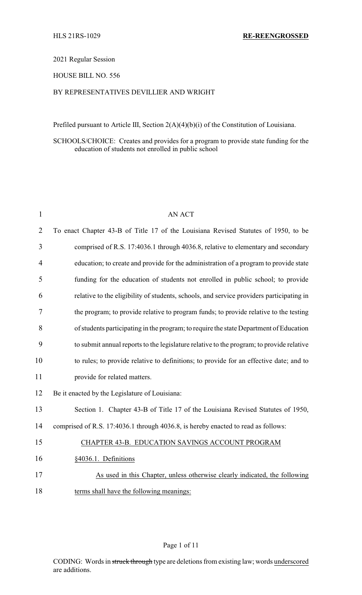#### 2021 Regular Session

### HOUSE BILL NO. 556

### BY REPRESENTATIVES DEVILLIER AND WRIGHT

Prefiled pursuant to Article III, Section 2(A)(4)(b)(i) of the Constitution of Louisiana.

SCHOOLS/CHOICE: Creates and provides for a program to provide state funding for the education of students not enrolled in public school

| $\mathbf{1}$   | <b>AN ACT</b>                                                                            |
|----------------|------------------------------------------------------------------------------------------|
| $\overline{2}$ | To enact Chapter 43-B of Title 17 of the Louisiana Revised Statutes of 1950, to be       |
| 3              | comprised of R.S. 17:4036.1 through 4036.8, relative to elementary and secondary         |
| 4              | education; to create and provide for the administration of a program to provide state    |
| 5              | funding for the education of students not enrolled in public school; to provide          |
| 6              | relative to the eligibility of students, schools, and service providers participating in |
| 7              | the program; to provide relative to program funds; to provide relative to the testing    |
| 8              | of students participating in the program; to require the state Department of Education   |
| 9              | to submit annual reports to the legislature relative to the program; to provide relative |
| 10             | to rules; to provide relative to definitions; to provide for an effective date; and to   |
| 11             | provide for related matters.                                                             |
| 12             | Be it enacted by the Legislature of Louisiana:                                           |
| 13             | Section 1. Chapter 43-B of Title 17 of the Louisiana Revised Statutes of 1950,           |
| 14             | comprised of R.S. 17:4036.1 through 4036.8, is hereby enacted to read as follows:        |
| 15             | CHAPTER 43-B. EDUCATION SAVINGS ACCOUNT PROGRAM                                          |
| 16             | §4036.1. Definitions                                                                     |
| 17             | As used in this Chapter, unless otherwise clearly indicated, the following               |
| 18             | terms shall have the following meanings:                                                 |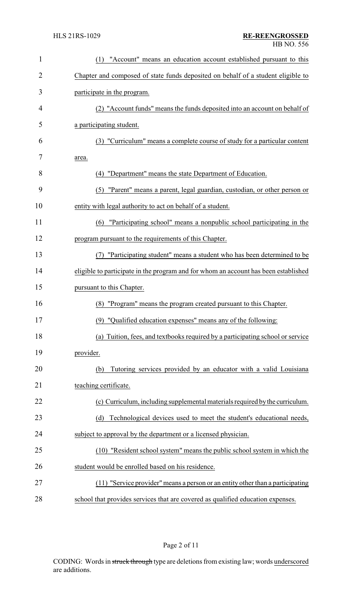| $\mathbf{1}$   | "Account" means an education account established pursuant to this<br>(1)            |
|----------------|-------------------------------------------------------------------------------------|
| $\overline{2}$ | Chapter and composed of state funds deposited on behalf of a student eligible to    |
| 3              | participate in the program.                                                         |
| 4              | (2) "Account funds" means the funds deposited into an account on behalf of          |
| 5              | a participating student.                                                            |
| 6              | (3) "Curriculum" means a complete course of study for a particular content          |
| 7              | area.                                                                               |
| 8              | (4) "Department" means the state Department of Education.                           |
| 9              | (5) "Parent" means a parent, legal guardian, custodian, or other person or          |
| 10             | entity with legal authority to act on behalf of a student.                          |
| 11             | "Participating school" means a nonpublic school participating in the<br>(6)         |
| 12             | program pursuant to the requirements of this Chapter.                               |
| 13             | "Participating student" means a student who has been determined to be<br>(7)        |
| 14             | eligible to participate in the program and for whom an account has been established |
| 15             | pursuant to this Chapter.                                                           |
| 16             | "Program" means the program created pursuant to this Chapter.<br>(8)                |
| 17             | (9) "Qualified education expenses" means any of the following:                      |
| 18             | Tuition, fees, and textbooks required by a participating school or service<br>(a)   |
|                | provider.                                                                           |
| 19             | Tutoring services provided by an educator with a valid Louisiana<br>(b)             |
| 20             | teaching certificate.                                                               |
| 21             |                                                                                     |
| 22             | (c) Curriculum, including supplemental materials required by the curriculum.        |
| 23             | Technological devices used to meet the student's educational needs,<br>(d)          |
| 24             | subject to approval by the department or a licensed physician.                      |
| 25             | (10) "Resident school system" means the public school system in which the           |
| 26             | student would be enrolled based on his residence.                                   |
| 27             | (11) "Service provider" means a person or an entity other than a participating      |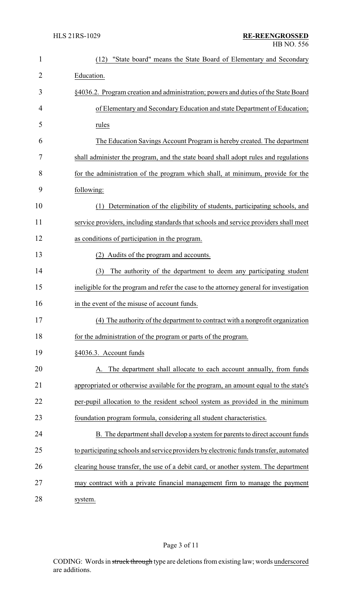| $\mathbf{1}$   | "State board" means the State Board of Elementary and Secondary<br>(12)                 |  |  |
|----------------|-----------------------------------------------------------------------------------------|--|--|
| $\overline{2}$ | Education.                                                                              |  |  |
| 3              | §4036.2. Program creation and administration; powers and duties of the State Board      |  |  |
| 4              | of Elementary and Secondary Education and state Department of Education;                |  |  |
| 5              | rules                                                                                   |  |  |
| 6              | The Education Savings Account Program is hereby created. The department                 |  |  |
| 7              | shall administer the program, and the state board shall adopt rules and regulations     |  |  |
| 8              | for the administration of the program which shall, at minimum, provide for the          |  |  |
| 9              | following:                                                                              |  |  |
| 10             | Determination of the eligibility of students, participating schools, and<br>(1)         |  |  |
| 11             | service providers, including standards that schools and service providers shall meet    |  |  |
| 12             | as conditions of participation in the program.                                          |  |  |
| 13             | (2) Audits of the program and accounts.                                                 |  |  |
| 14             | The authority of the department to deem any participating student<br>(3)                |  |  |
| 15             | ineligible for the program and refer the case to the attorney general for investigation |  |  |
| 16             | in the event of the misuse of account funds.                                            |  |  |
| 17             | (4) The authority of the department to contract with a nonprofit organization           |  |  |
| 18             | for the administration of the program or parts of the program.                          |  |  |
| 19             | §4036.3. Account funds                                                                  |  |  |
| 20             | A. The department shall allocate to each account annually, from funds                   |  |  |
| 21             | appropriated or otherwise available for the program, an amount equal to the state's     |  |  |
| 22             | per-pupil allocation to the resident school system as provided in the minimum           |  |  |
| 23             | foundation program formula, considering all student characteristics.                    |  |  |
| 24             | B. The department shall develop a system for parents to direct account funds            |  |  |
| 25             | to participating schools and service providers by electronic funds transfer, automated  |  |  |
| 26             | clearing house transfer, the use of a debit card, or another system. The department     |  |  |
| 27             | may contract with a private financial management firm to manage the payment             |  |  |
| 28             | system.                                                                                 |  |  |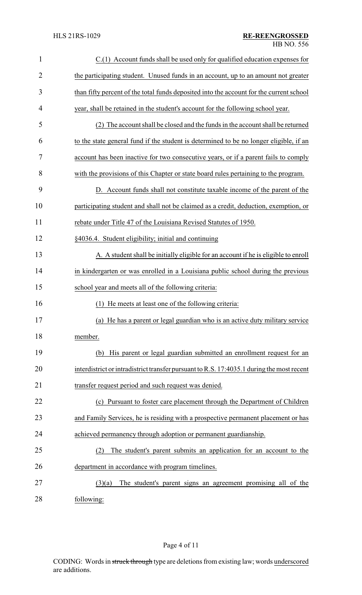| $\mathbf{1}$   | C.(1) Account funds shall be used only for qualified education expenses for               |
|----------------|-------------------------------------------------------------------------------------------|
| $\overline{c}$ | the participating student. Unused funds in an account, up to an amount not greater        |
| 3              | than fifty percent of the total funds deposited into the account for the current school   |
| 4              | year, shall be retained in the student's account for the following school year.           |
| 5              | The account shall be closed and the funds in the account shall be returned                |
| 6              | to the state general fund if the student is determined to be no longer eligible, if an    |
| 7              | account has been inactive for two consecutive years, or if a parent fails to comply       |
| 8              | with the provisions of this Chapter or state board rules pertaining to the program.       |
| 9              | D. Account funds shall not constitute taxable income of the parent of the                 |
| 10             | participating student and shall not be claimed as a credit, deduction, exemption, or      |
| 11             | rebate under Title 47 of the Louisiana Revised Statutes of 1950.                          |
| 12             | §4036.4. Student eligibility; initial and continuing                                      |
| 13             | A. A student shall be initially eligible for an account if he is eligible to enroll       |
| 14             | in kindergarten or was enrolled in a Louisiana public school during the previous          |
| 15             | school year and meets all of the following criteria:                                      |
| 16             | (1) He meets at least one of the following criteria:                                      |
| 17             | (a) He has a parent or legal guardian who is an active duty military service              |
| 18             | member.                                                                                   |
| 19             | (b) His parent or legal guardian submitted an enrollment request for an                   |
| 20             | interdistrict or intradistrict transfer pursuant to R.S. 17:4035.1 during the most recent |
| 21             | transfer request period and such request was denied.                                      |
| 22             | (c) Pursuant to foster care placement through the Department of Children                  |
| 23             | and Family Services, he is residing with a prospective permanent placement or has         |
| 24             | achieved permanency through adoption or permanent guardianship.                           |
| 25             | The student's parent submits an application for an account to the<br>(2)                  |
| 26             | department in accordance with program timelines.                                          |
| 27             | The student's parent signs an agreement promising all of the<br>(3)(a)                    |
| 28             | following:                                                                                |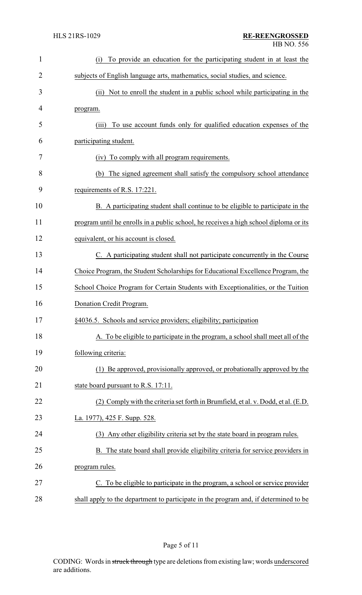| $\mathbf{1}$   | To provide an education for the participating student in at least the<br>(i)          |
|----------------|---------------------------------------------------------------------------------------|
| $\overline{2}$ | subjects of English language arts, mathematics, social studies, and science.          |
| 3              | Not to enroll the student in a public school while participating in the<br>(ii)       |
| 4              | program.                                                                              |
| 5              | To use account funds only for qualified education expenses of the<br>(iii)            |
| 6              | participating student.                                                                |
| 7              | To comply with all program requirements.<br>(iv)                                      |
| 8              | The signed agreement shall satisfy the compulsory school attendance<br>(b)            |
| 9              | requirements of R.S. 17:221.                                                          |
| 10             | B. A participating student shall continue to be eligible to participate in the        |
| 11             | program until he enrolls in a public school, he receives a high school diploma or its |
| 12             | equivalent, or his account is closed.                                                 |
| 13             | C. A participating student shall not participate concurrently in the Course           |
| 14             | Choice Program, the Student Scholarships for Educational Excellence Program, the      |
| 15             | School Choice Program for Certain Students with Exceptionalities, or the Tuition      |
| 16             | Donation Credit Program.                                                              |
| 17             | §4036.5. Schools and service providers; eligibility; participation                    |
| 18             | A. To be eligible to participate in the program, a school shall meet all of the       |
| 19             | following criteria:                                                                   |
| 20             | (1) Be approved, provisionally approved, or probationally approved by the             |
| 21             | state board pursuant to R.S. 17:11.                                                   |
| 22             | (2) Comply with the criteria set forth in Brumfield, et al. v. Dodd, et al. (E.D.     |
| 23             | La. 1977), 425 F. Supp. 528.                                                          |
| 24             | (3) Any other eligibility criteria set by the state board in program rules.           |
| 25             | B. The state board shall provide eligibility criteria for service providers in        |
| 26             | program rules.                                                                        |
| 27             | C. To be eligible to participate in the program, a school or service provider         |
| 28             | shall apply to the department to participate in the program and, if determined to be  |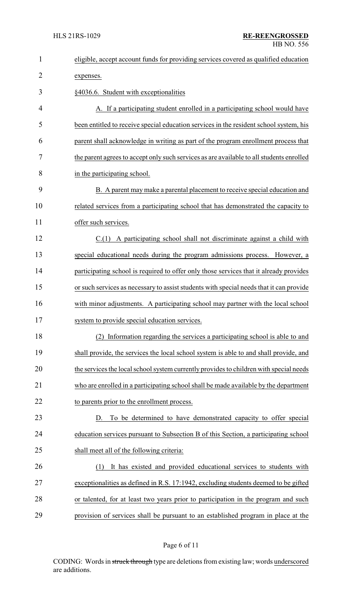| $\mathbf{1}$   | eligible, accept account funds for providing services covered as qualified education     |
|----------------|------------------------------------------------------------------------------------------|
| $\overline{2}$ | expenses.                                                                                |
| 3              | §4036.6. Student with exceptionalities                                                   |
| 4              | A. If a participating student enrolled in a participating school would have              |
| 5              | been entitled to receive special education services in the resident school system, his   |
| 6              | parent shall acknowledge in writing as part of the program enrollment process that       |
| 7              | the parent agrees to accept only such services as are available to all students enrolled |
| 8              | in the participating school.                                                             |
| 9              | B. A parent may make a parental placement to receive special education and               |
| 10             | related services from a participating school that has demonstrated the capacity to       |
| 11             | offer such services.                                                                     |
| 12             | $C(1)$ A participating school shall not discriminate against a child with                |
| 13             | special educational needs during the program admissions process. However, a              |
| 14             | participating school is required to offer only those services that it already provides   |
| 15             | or such services as necessary to assist students with special needs that it can provide  |
| 16             | with minor adjustments. A participating school may partner with the local school         |
| 17             | system to provide special education services.                                            |
| 18             | Information regarding the services a participating school is able to and<br>(2)          |
| 19             | shall provide, the services the local school system is able to and shall provide, and    |
| 20             | the services the local school system currently provides to children with special needs   |
| 21             | who are enrolled in a participating school shall be made available by the department     |
| 22             | to parents prior to the enrollment process.                                              |
| 23             | D. To be determined to have demonstrated capacity to offer special                       |
| 24             | education services pursuant to Subsection B of this Section, a participating school      |
| 25             | shall meet all of the following criteria:                                                |
| 26             | It has existed and provided educational services to students with<br>(1)                 |
| 27             | exceptionalities as defined in R.S. 17:1942, excluding students deemed to be gifted      |
| 28             | or talented, for at least two years prior to participation in the program and such       |
| 29             | provision of services shall be pursuant to an established program in place at the        |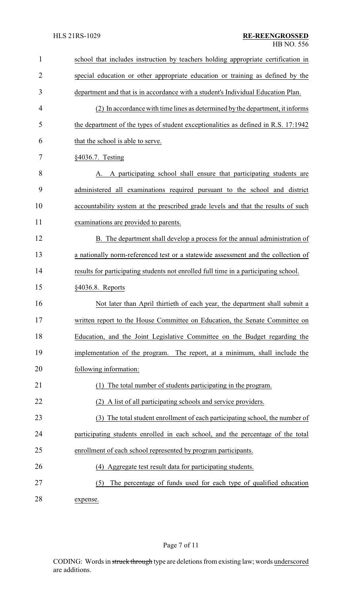| $\mathbf{1}$   | school that includes instruction by teachers holding appropriate certification in    |
|----------------|--------------------------------------------------------------------------------------|
| $\overline{2}$ | special education or other appropriate education or training as defined by the       |
| 3              | department and that is in accordance with a student's Individual Education Plan.     |
| 4              | (2) In accordance with time lines as determined by the department, it informs        |
| 5              | the department of the types of student exceptionalities as defined in R.S. 17:1942   |
| 6              | that the school is able to serve.                                                    |
| 7              | §4036.7. Testing                                                                     |
| 8              | A. A participating school shall ensure that participating students are               |
| 9              | administered all examinations required pursuant to the school and district           |
| 10             | accountability system at the prescribed grade levels and that the results of such    |
| 11             | examinations are provided to parents.                                                |
| 12             | B. The department shall develop a process for the annual administration of           |
| 13             | a nationally norm-referenced test or a statewide assessment and the collection of    |
| 14             | results for participating students not enrolled full time in a participating school. |
| 15             | §4036.8. Reports                                                                     |
| 16             | Not later than April thirtieth of each year, the department shall submit a           |
| 17             | written report to the House Committee on Education, the Senate Committee on          |
| 18             | Education, and the Joint Legislative Committee on the Budget regarding the           |
| 19             | implementation of the program. The report, at a minimum, shall include the           |
| 20             | following information:                                                               |
| 21             | The total number of students participating in the program.                           |
| 22             | (2) A list of all participating schools and service providers.                       |
| 23             | The total student enrollment of each participating school, the number of<br>(3)      |
| 24             | participating students enrolled in each school, and the percentage of the total      |
| 25             | enrollment of each school represented by program participants.                       |
| 26             | (4) Aggregate test result data for participating students.                           |
| 27             | The percentage of funds used for each type of qualified education<br>(5)             |
|                |                                                                                      |

28 expense.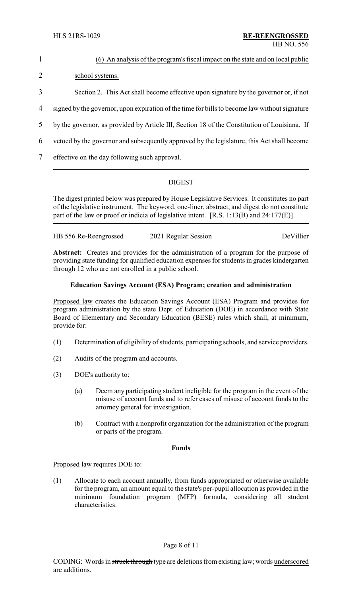|                | (6) An analysis of the program's fiscal impact on the state and on local public               |
|----------------|-----------------------------------------------------------------------------------------------|
| 2              | school systems.                                                                               |
| 3              | Section 2. This Act shall become effective upon signature by the governor or, if not          |
| $\overline{4}$ | signed by the governor, upon expiration of the time for bills to become law without signature |
| 5              | by the governor, as provided by Article III, Section 18 of the Constitution of Louisiana. If  |
| 6              | vetoed by the governor and subsequently approved by the legislature, this Act shall become    |
|                | effective on the day following such approval.                                                 |

## DIGEST

The digest printed below was prepared by House Legislative Services. It constitutes no part of the legislative instrument. The keyword, one-liner, abstract, and digest do not constitute part of the law or proof or indicia of legislative intent. [R.S. 1:13(B) and 24:177(E)]

| HB 556 Re-Reengrossed |                      | DeVillier |
|-----------------------|----------------------|-----------|
|                       | 2021 Regular Session |           |

**Abstract:** Creates and provides for the administration of a program for the purpose of providing state funding for qualified education expenses for students in grades kindergarten through 12 who are not enrolled in a public school.

#### **Education Savings Account (ESA) Program; creation and administration**

Proposed law creates the Education Savings Account (ESA) Program and provides for program administration by the state Dept. of Education (DOE) in accordance with State Board of Elementary and Secondary Education (BESE) rules which shall, at minimum, provide for:

- (1) Determination of eligibility of students, participating schools, and service providers.
- (2) Audits of the program and accounts.
- (3) DOE's authority to:
	- (a) Deem any participating student ineligible for the program in the event of the misuse of account funds and to refer cases of misuse of account funds to the attorney general for investigation.
	- (b) Contract with a nonprofit organization for the administration of the program or parts of the program.

#### **Funds**

Proposed law requires DOE to:

(1) Allocate to each account annually, from funds appropriated or otherwise available for the program, an amount equal to the state's per-pupil allocation as provided in the minimum foundation program (MFP) formula, considering all student characteristics.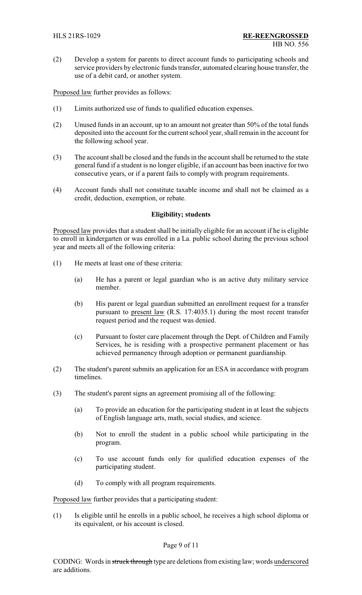(2) Develop a system for parents to direct account funds to participating schools and service providers by electronic funds transfer, automated clearing house transfer, the use of a debit card, or another system.

Proposed law further provides as follows:

- (1) Limits authorized use of funds to qualified education expenses.
- (2) Unused funds in an account, up to an amount not greater than 50% of the total funds deposited into the account for the current school year, shall remain in the account for the following school year.
- (3) The account shall be closed and the funds in the account shall be returned to the state general fund if a student is no longer eligible, if an account has been inactive for two consecutive years, or if a parent fails to comply with program requirements.
- (4) Account funds shall not constitute taxable income and shall not be claimed as a credit, deduction, exemption, or rebate.

#### **Eligibility; students**

Proposed law provides that a student shall be initially eligible for an account if he is eligible to enroll in kindergarten or was enrolled in a La. public school during the previous school year and meets all of the following criteria:

- (1) He meets at least one of these criteria:
	- (a) He has a parent or legal guardian who is an active duty military service member.
	- (b) His parent or legal guardian submitted an enrollment request for a transfer pursuant to present law (R.S. 17:4035.1) during the most recent transfer request period and the request was denied.
	- (c) Pursuant to foster care placement through the Dept. of Children and Family Services, he is residing with a prospective permanent placement or has achieved permanency through adoption or permanent guardianship.
- (2) The student's parent submits an application for an ESA in accordance with program timelines.
- (3) The student's parent signs an agreement promising all of the following:
	- (a) To provide an education for the participating student in at least the subjects of English language arts, math, social studies, and science.
	- (b) Not to enroll the student in a public school while participating in the program.
	- (c) To use account funds only for qualified education expenses of the participating student.
	- (d) To comply with all program requirements.

Proposed law further provides that a participating student:

(1) Is eligible until he enrolls in a public school, he receives a high school diploma or its equivalent, or his account is closed.

#### Page 9 of 11

CODING: Words in struck through type are deletions from existing law; words underscored are additions.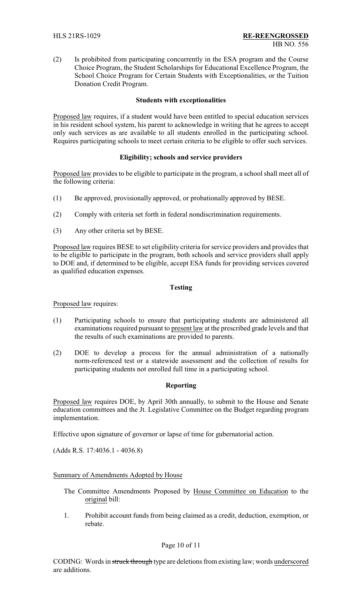(2) Is prohibited from participating concurrently in the ESA program and the Course Choice Program, the Student Scholarships for Educational Excellence Program, the School Choice Program for Certain Students with Exceptionalities, or the Tuition Donation Credit Program.

### **Students with exceptionalities**

Proposed law requires, if a student would have been entitled to special education services in his resident school system, his parent to acknowledge in writing that he agrees to accept only such services as are available to all students enrolled in the participating school. Requires participating schools to meet certain criteria to be eligible to offer such services.

## **Eligibility; schools and service providers**

Proposed law provides to be eligible to participate in the program, a school shall meet all of the following criteria:

- (1) Be approved, provisionally approved, or probationally approved by BESE.
- (2) Comply with criteria set forth in federal nondiscrimination requirements.
- (3) Any other criteria set by BESE.

Proposed law requires BESE to set eligibility criteria for service providers and provides that to be eligible to participate in the program, both schools and service providers shall apply to DOE and, if determined to be eligible, accept ESA funds for providing services covered as qualified education expenses.

#### **Testing**

Proposed law requires:

- (1) Participating schools to ensure that participating students are administered all examinations required pursuant to present law at the prescribed grade levels and that the results of such examinations are provided to parents.
- (2) DOE to develop a process for the annual administration of a nationally norm-referenced test or a statewide assessment and the collection of results for participating students not enrolled full time in a participating school.

### **Reporting**

Proposed law requires DOE, by April 30th annually, to submit to the House and Senate education committees and the Jt. Legislative Committee on the Budget regarding program implementation.

Effective upon signature of governor or lapse of time for gubernatorial action.

(Adds R.S. 17:4036.1 - 4036.8)

#### Summary of Amendments Adopted by House

- The Committee Amendments Proposed by House Committee on Education to the original bill:
- 1. Prohibit account funds from being claimed as a credit, deduction, exemption, or rebate.

#### Page 10 of 11

CODING: Words in struck through type are deletions from existing law; words underscored are additions.